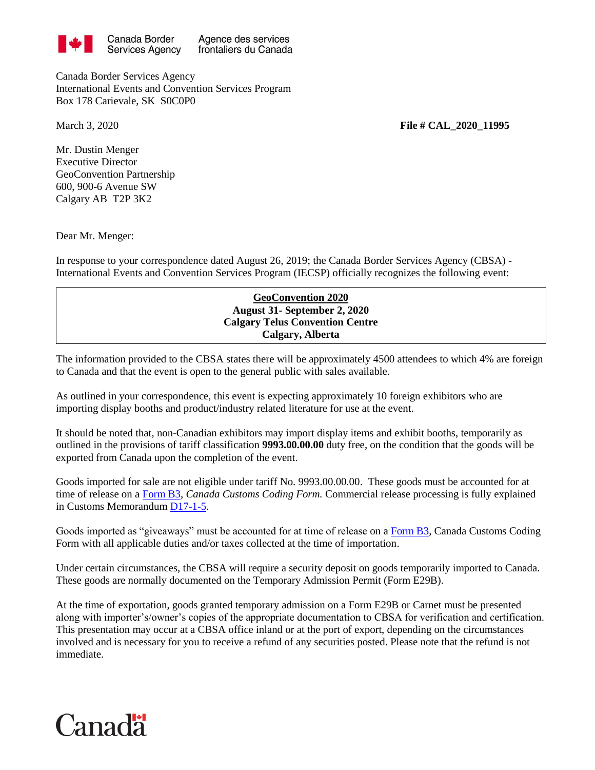

Agence des services frontaliers du Canada

Canada Border Services Agency International Events and Convention Services Program Box 178 Carievale, SK S0C0P0

March 3, 2020 **File # CAL 2020 11995** 

Mr. Dustin Menger Executive Director GeoConvention Partnership 600, 900-6 Avenue SW Calgary AB T2P 3K2

Dear Mr. Menger:

In response to your correspondence dated August 26, 2019; the Canada Border Services Agency (CBSA) - International Events and Convention Services Program (IECSP) officially recognizes the following event:

## **GeoConvention 2020 August 31- September 2, 2020 Calgary Telus Convention Centre Calgary, Alberta**

The information provided to the CBSA states there will be approximately 4500 attendees to which 4% are foreign to Canada and that the event is open to the general public with sales available.

As outlined in your correspondence, this event is expecting approximately 10 foreign exhibitors who are importing display booths and product/industry related literature for use at the event.

It should be noted that, non-Canadian exhibitors may import display items and exhibit booths, temporarily as outlined in the provisions of tariff classification **9993.00.00.00** duty free, on the condition that the goods will be exported from Canada upon the completion of the event.

Goods imported for sale are not eligible under tariff No. 9993.00.00.00. These goods must be accounted for at time of release on a [Form B3,](http://www.cbsa-asfc.gc.ca/publications/forms-formulaires/b3-3.pdf) *Canada Customs Coding Form.* Commercial release processing is fully explained in Customs Memorandum [D17-1-5.](http://www.cbsa-asfc.gc.ca/publications/dm-md/d17/d17-1-5-eng.pdf)

Goods imported as "giveaways" must be accounted for at time of release on a [Form B3,](http://www.cbsa-asfc.gc.ca/publications/forms-formulaires/b3-3.pdf) Canada Customs Coding Form with all applicable duties and/or taxes collected at the time of importation.

Under certain circumstances, the CBSA will require a security deposit on goods temporarily imported to Canada. These goods are normally documented on the Temporary Admission Permit (Form E29B).

At the time of exportation, goods granted temporary admission on a Form E29B or Carnet must be presented along with importer's/owner's copies of the appropriate documentation to CBSA for verification and certification. This presentation may occur at a CBSA office inland or at the port of export, depending on the circumstances involved and is necessary for you to receive a refund of any securities posted. Please note that the refund is not immediate.